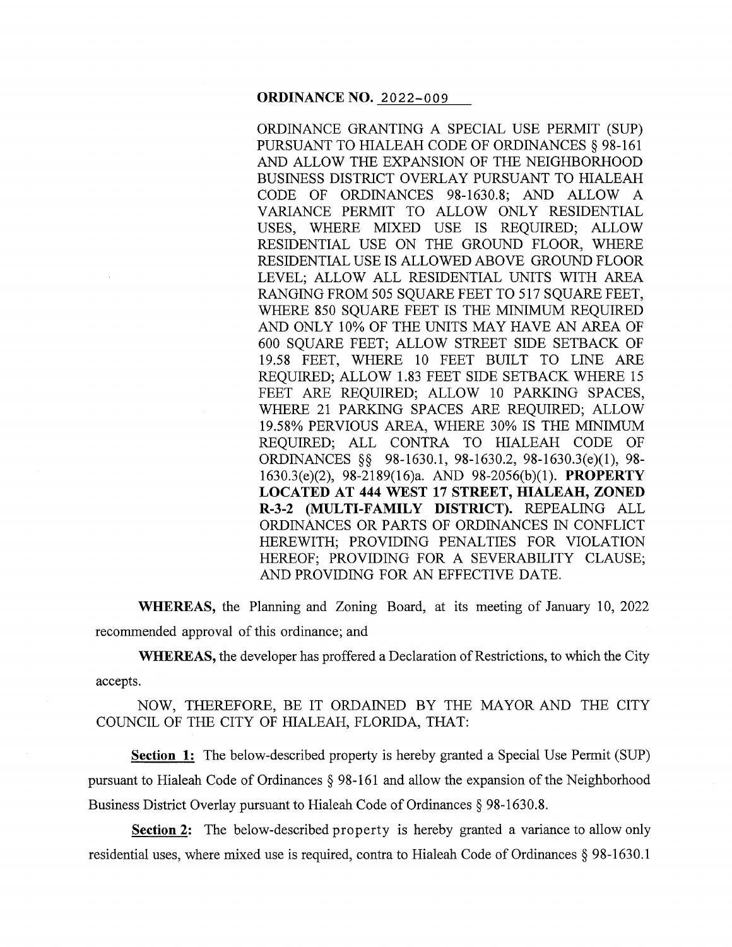#### **ORDINANCE NO.** 2022-009

ORDINANCE GRANTING A SPECIAL USE PERMIT (SUP) PURSUANT TO HIALEAH CODE OF ORDINANCES§ 98-161 AND ALLOW THE EXPANSION OF THE NEIGHBORHOOD BUSINESS DISTRICT OVERLAY PURSUANT TO HIALEAH CODE OF ORDINANCES 98-1630.8; AND ALLOW A VARIANCE PERMIT TO ALLOW ONLY RESIDENTIAL USES, WHERE MIXED USE IS REQUIRED; ALLOW RESIDENTIAL USE ON THE GROUND FLOOR, WHERE RESIDENTIAL USE IS ALLOWED ABOVE GROUND FLOOR LEVEL; ALLOW ALL RESIDENTIAL UNITS WITH AREA RANGING FROM 505 SOUARE FEET TO 517 SOUARE FEET, WHERE 850 SQUARE FEET IS THE MINIMUM REQUIRED AND ONLY 10% OF THE UNITS MAY HAVE AN AREA OF 600 SQUARE FEET; ALLOW STREET SIDE SETBACK OF 19.58 FEET, WHERE 10 FEET BUILT TO LINE ARE REQUIRED; ALLOW 1.83 FEET SIDE SETBACK WHERE 15 FEET ARE REQUIRED; ALLOW 10 PARKING SPACES, WHERE 21 PARKING SPACES ARE REQUIRED; ALLOW 19.58% PERVIOUS AREA, WHERE 30% IS THE MINIMUM REQUIRED; ALL CONTRA TO HIALEAH CODE OF ORDINANCES §§ 98-1630.1, 98-1630.2, 98-1630.3(e)(l), 98- 1630.3(e)(2), 98-2189(16)a. AND 98-2056(b)(l). **PROPERTY LOCATED AT 444 WEST 17 STREET, HIALEAH, ZONED R-3-2 (MULTI-FAMILY DISTRICT).** REPEALING ALL ORDINANCES OR PARTS OF ORDINANCES IN CONFLICT HEREWITH; PROVIDING PENALTIES FOR VIOLATION HEREOF; PROVIDING FOR A SEVERABILITY CLAUSE; AND PROVIDING FOR AN EFFECTIVE DATE.

**WHEREAS,** the Planning and Zoning Board, at its meeting of January 10, 2022 recommended approval of this ordinance; and

**WHEREAS,** the developer has proffered a Declaration of Restrictions, to which the City accepts.

NOW, THEREFORE, BE IT ORDAINED BY THE MAYOR AND THE CITY COUNCIL OF THE CITY OF HIALEAH, FLORIDA, THAT:

**Section 1:** The below-described property is hereby granted a Special Use Permit (SUP) pursuant to Hialeah Code of Ordinances§ 98-161 and allow the expansion of the Neighborhood Business District Overlay pursuant to Hialeah Code of Ordinances§ 98-1630.8.

**Section 2:** The below-described property is hereby granted a variance to allow only residential uses, where mixed use is required, contra to Hialeah Code of Ordinances § 98-1630.1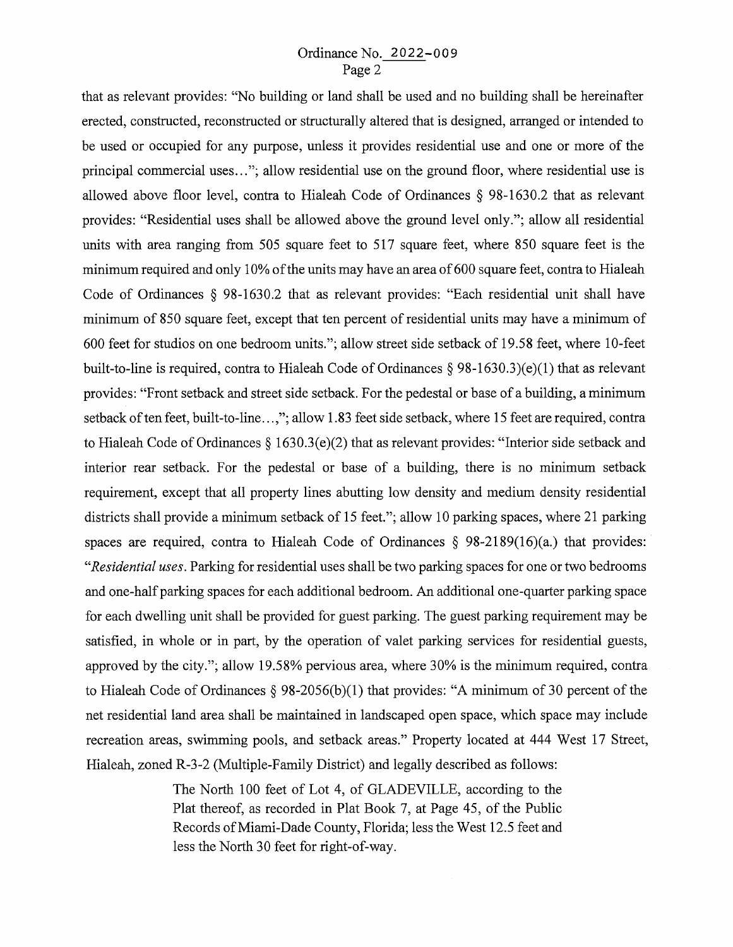# Ordinance No. 2022-009 Page 2

that as relevant provides: "No building or land shall be used and no building shall be hereinafter erected, constructed, reconstructed or structurally altered that is designed, arranged or intended to be used or occupied for any purpose, unless it provides residential use and one or more of the principal commercial uses ... "; allow residential use on the ground floor, where residential use is allowed above floor level, contra to Hialeah Code of Ordinances § 98-1630.2 that as relevant provides: "Residential uses shall be allowed above the ground level only."; allow all residential units with area ranging from 505 square feet to 517 square feet, where 850 square feet is the minimum required and only 10% of the units may have an area of 600 square feet, contra to Hialeah Code of Ordinances § 98-1630.2 that as relevant provides: "Each residential unit shall have minimum of 850 square feet, except that ten percent of residential units may have a minimum of 600 feet for studios on one bedroom units."; allow street side setback of 19 .5 8 feet, where 10-feet built-to-line is required, contra to Hialeah Code of Ordinances § 98-1630.3)(e)(1) that as relevant provides: "Front setback and street side setback. For the pedestal or base of a building, a minimum setback of ten feet, built-to-line ...,"; allow 1.83 feet side setback, where 15 feet are required, contra to Hialeah Code of Ordinances§ 1630.3(e)(2) that as relevant provides: "Interior side setback and interior rear setback. For the pedestal or base of a building, there is no minimum setback requirement, except that all property lines abutting low density and medium density residential districts shall provide a minimum setback of 15 feet."; allow 10 parking spaces, where 21 parking spaces are required, contra to Hialeah Code of Ordinances § 98-2189(16)(a.) that provides: *"Residential uses.* Parking for residential uses shall be two parking spaces for one or two bedrooms and one-half parking spaces for each additional bedroom. An additional one-quarter parking space for each dwelling unit shall be provided for guest parking. The guest parking requirement may be satisfied, in whole or in part, by the operation of valet parking services for residential guests, approved by the city."; allow 19.58% pervious area, where 30% is the minimum required, contra to Hialeah Code of Ordinances § 98-2056(b)(1) that provides: "A minimum of 30 percent of the net residential land area shall be maintained in landscaped open space, which space may include recreation areas, swimming pools, and setback areas." Property located at 444 West 17 Street, Hialeah, zoned R-3-2 (Multiple-Family District) and legally described as follows:

> The North 100 feet of Lot 4, of GLADEVILLE, according to the Plat thereof, as recorded in Plat Book 7, at Page 45, of the Public Records of Miami-Dade County, Florida; less the West 12.5 feet and less the North 30 feet for right-of-way.